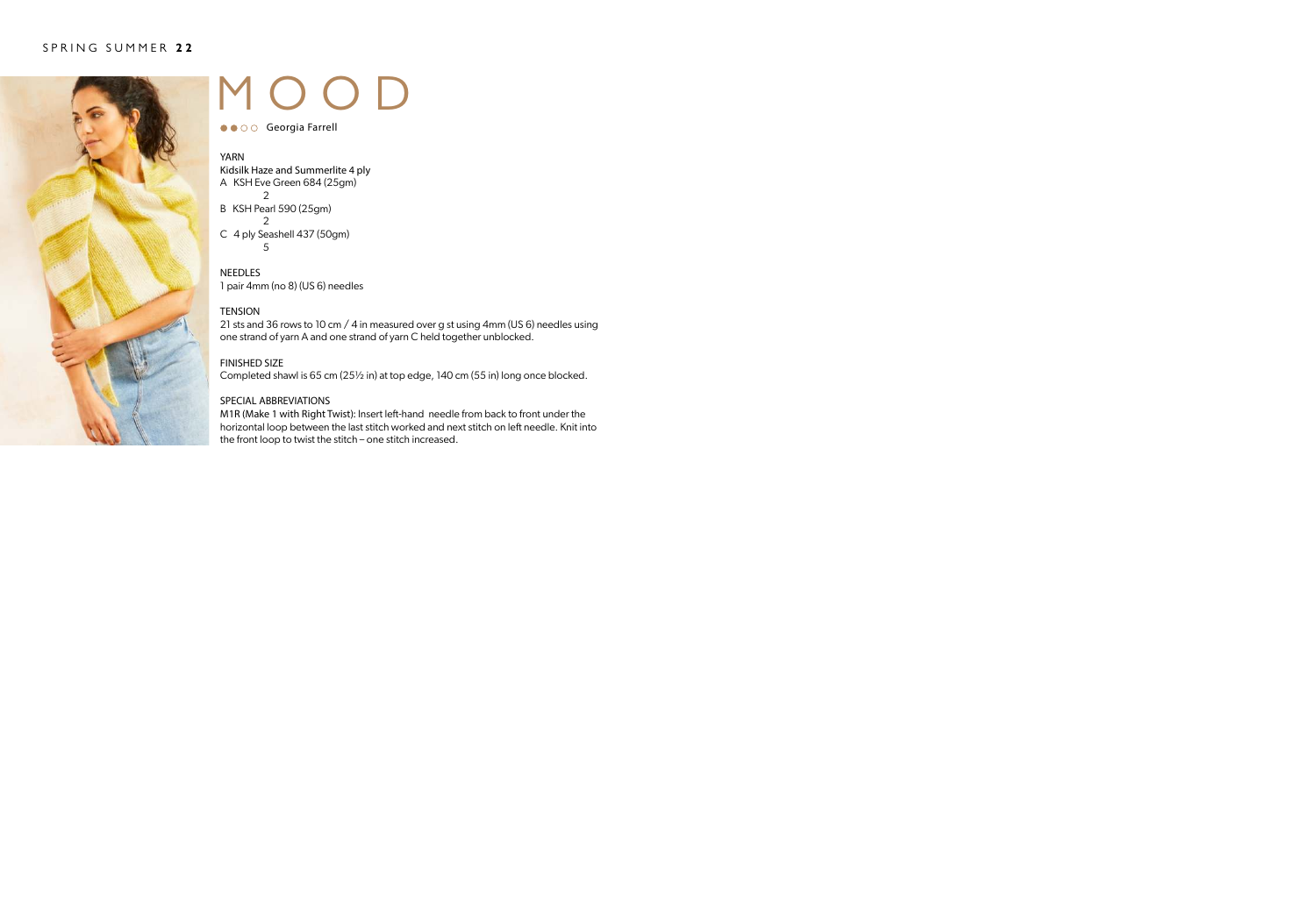

# MOOD

● ● ○ ○ Georgia Farrell

#### YARN

Kidsilk Haze and Summerlite 4 ply A KSH Eve Green 684 (25gm) 2

- B KSH Pearl 590 (25gm)  $\mathfrak{D}$
- C 4 ply Seashell 437 (50gm) 5

### **NEEDLES**

1 pair 4mm (no 8) (US 6) needles

### **TENSION**

21 sts and 36 rows to 10 cm / 4 in measured over g st using 4mm (US 6) needles using one strand of yarn A and one strand of yarn C held together unblocked.

#### FINISHED SIZE

Completed shawl is 65 cm (25½ in) at top edge, 140 cm (55 in) long once blocked.

#### SPECIAL ABBREVIATIONS

M1R (Make 1 with Right Twist): Insert left-hand needle from back to front under the horizontal loop between the last stitch worked and next stitch on left needle. Knit into the front loop to twist the stitch – one stitch increased.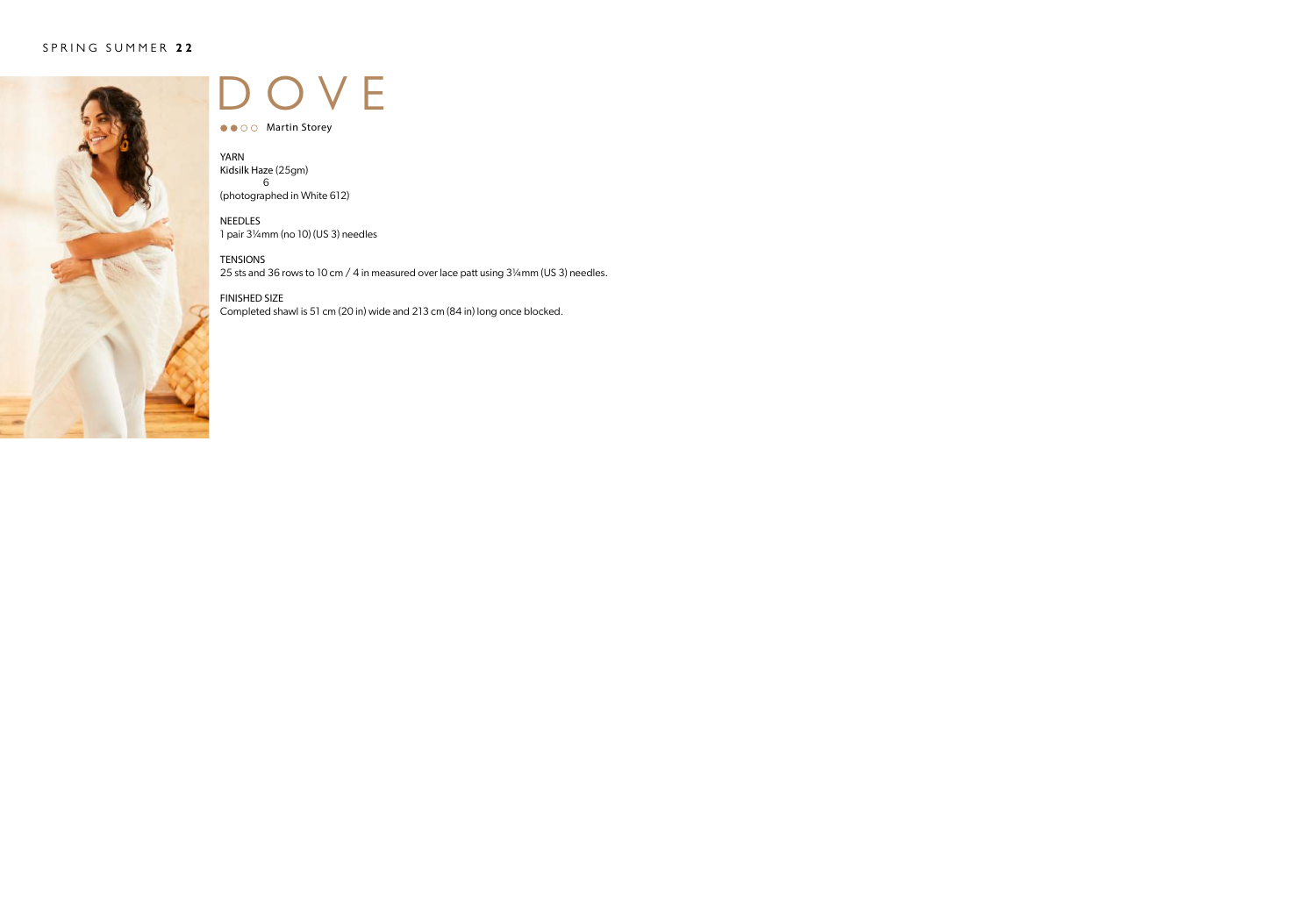

### OVE

● ● ○ ○ Martin Storey

YARN Kidsilk Haze (25gm) 6 (photographed in White 612)

NEEDLES 1 pair 3¼mm (no 10) (US 3) needles

TENSIONS 25 sts and 36 rows to 10 cm / 4 in measured over lace patt using 3¼mm (US 3) needles.

FINISHED SIZE Completed shawl is 51 cm (20 in) wide and 213 cm (84 in) long once blocked.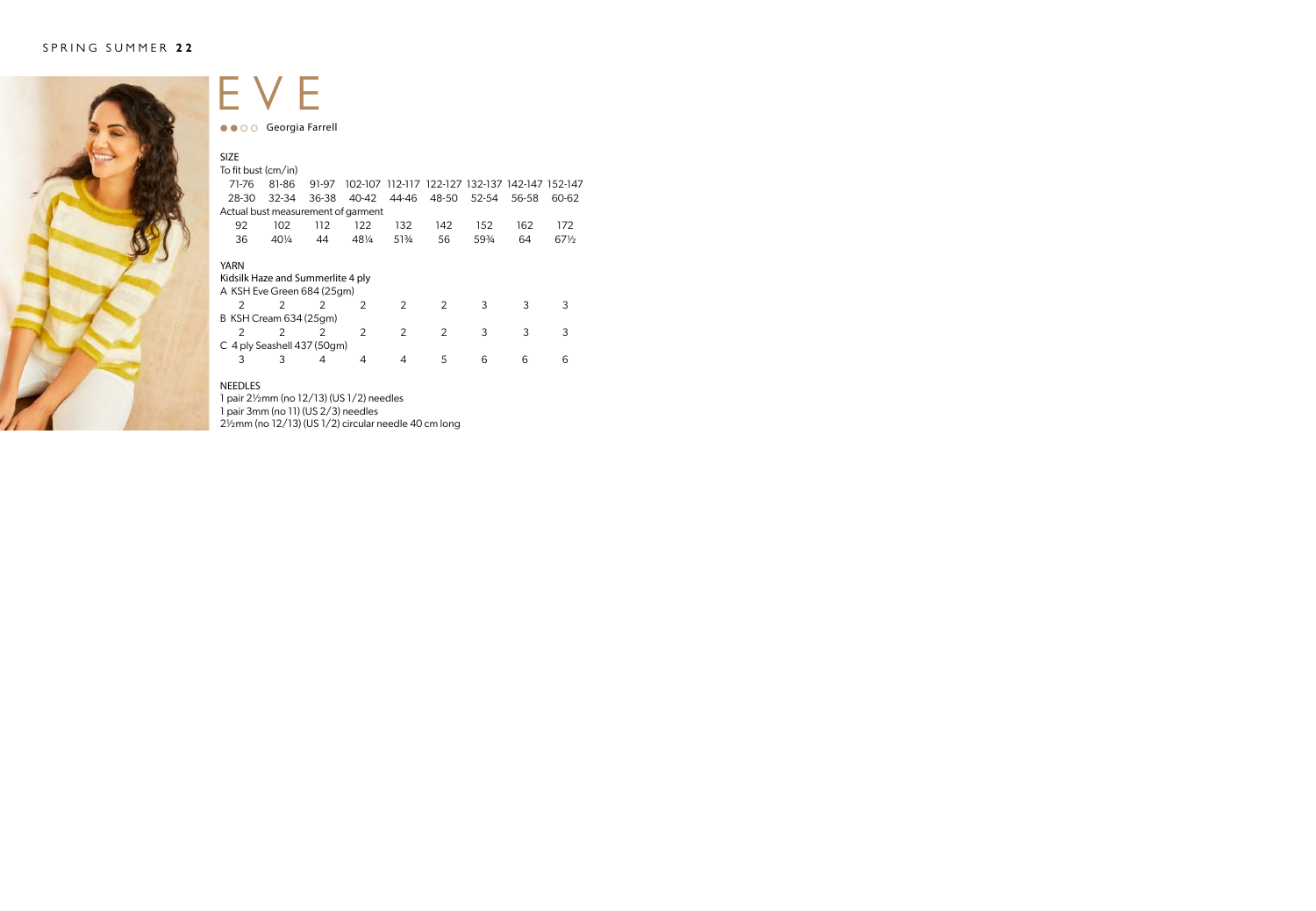

### EVE ●● ○ ○ Georgia Farrell

| <b>SIZE</b>                        |                 |               |               |               |                                         |       |       |                 |
|------------------------------------|-----------------|---------------|---------------|---------------|-----------------------------------------|-------|-------|-----------------|
| To fit bust (cm/in)                |                 |               |               |               |                                         |       |       |                 |
| 71-76                              | 81-86           | 91-97         | 102-107       |               | 112-117 122-127 132-137 142-147 152-147 |       |       |                 |
| 28-30                              | $32 - 34$       | 36-38         | 40-42         | 44-46         | 48-50                                   | 52-54 | 56-58 | 60-62           |
| Actual bust measurement of garment |                 |               |               |               |                                         |       |       |                 |
| 92                                 | 102             | 112           | 122           | 132           | 142                                     | 152   | 162   | 172             |
| 36                                 | $40\frac{1}{4}$ | 44            | 481/4         | 51%           | 56                                      | 59%   | 64    | $67\frac{1}{2}$ |
|                                    |                 |               |               |               |                                         |       |       |                 |
| YARN                               |                 |               |               |               |                                         |       |       |                 |
| Kidsilk Haze and Summerlite 4 ply  |                 |               |               |               |                                         |       |       |                 |
| A KSH Eve Green 684 (25qm)         |                 |               |               |               |                                         |       |       |                 |
| $\mathcal{P}$                      | $\mathcal{P}$   | $\mathcal{P}$ | $\mathcal{P}$ | $\mathcal{P}$ | $\mathcal{P}$                           | 3     | 3     | 3               |
| B KSH Cream 634 (25gm)             |                 |               |               |               |                                         |       |       |                 |
| $\mathcal{P}$                      | $\mathcal{P}$   | $\mathcal{P}$ | $\mathcal{P}$ | $\mathcal{P}$ | $\mathcal{P}$                           | 3     | 3     | 3               |
| C 4 ply Seashell 437 (50gm)        |                 |               |               |               |                                         |       |       |                 |
| 3                                  | 3               | 4             | 4             | 4             | 5                                       | 6     | 6     | 6               |
|                                    |                 |               |               |               |                                         |       |       |                 |

### NEEDLES

1 pair 2½mm (no 12/13) (US 1/2) needles 1 pair 3mm (no 11) (US 2/3) needles 2½mm (no 12/13) (US 1/2) circular needle 40 cm long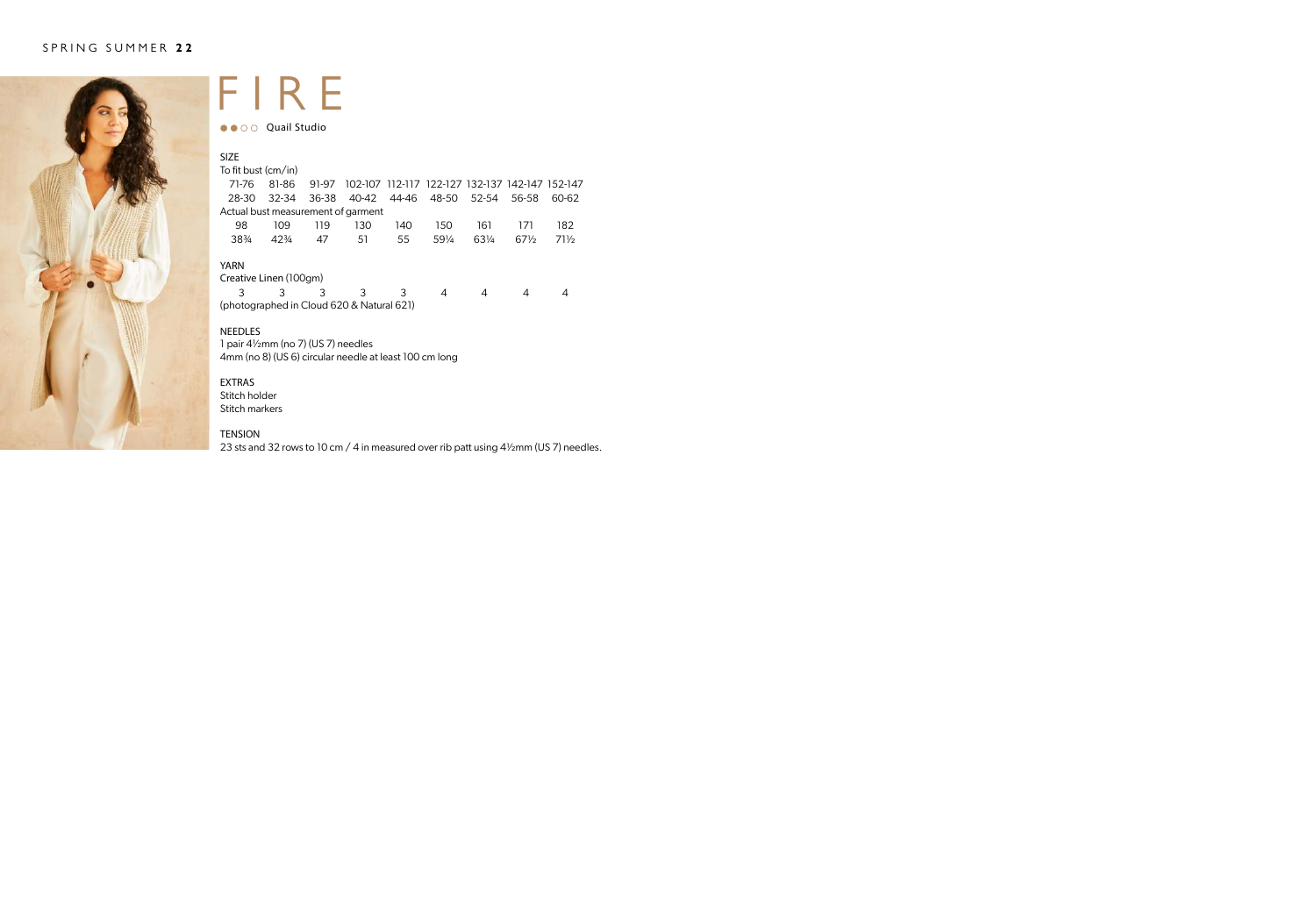

### FIRE

●● ○ ○ Quail Studio

| <b>SIZE</b><br>To fit bust (cm/in) |           |       |       |       |                                                 |       |        |        |
|------------------------------------|-----------|-------|-------|-------|-------------------------------------------------|-------|--------|--------|
| 71-76                              | 81-86     | 91-97 |       |       | 102-107 112-117 122-127 132-137 142-147 152-147 |       |        |        |
| 28-30                              | $32 - 34$ | 36-38 | 40-42 | 44-46 | 48-50                                           | 52-54 | 56-58  | 60-62  |
| Actual bust measurement of garment |           |       |       |       |                                                 |       |        |        |
| 98                                 | 109       | 119   | 130   | 140   | 150                                             | 161   | 171    | 182    |
| 383/4                              | $42\%$    | 47    | 51    | 55    | 591/4                                           | 631/4 | $67\%$ | $71\%$ |
| <b>YARN</b>                        |           |       |       |       |                                                 |       |        |        |
| Creative Linen (100gm)             |           |       |       |       |                                                 |       |        |        |
| 3                                  |           | 3     | 3     | 3     | 4                                               |       | 4      |        |

(photographed in Cloud 620 & Natural 621)

#### NEEDLES

1 pair 4½mm (no 7) (US 7) needles 4mm (no 8) (US 6) circular needle at least 100 cm long

#### EXTRAS

Stitch holder Stitch markers

### TENSION

23 sts and 32 rows to 10 cm / 4 in measured over rib patt using 4½mm (US 7) needles.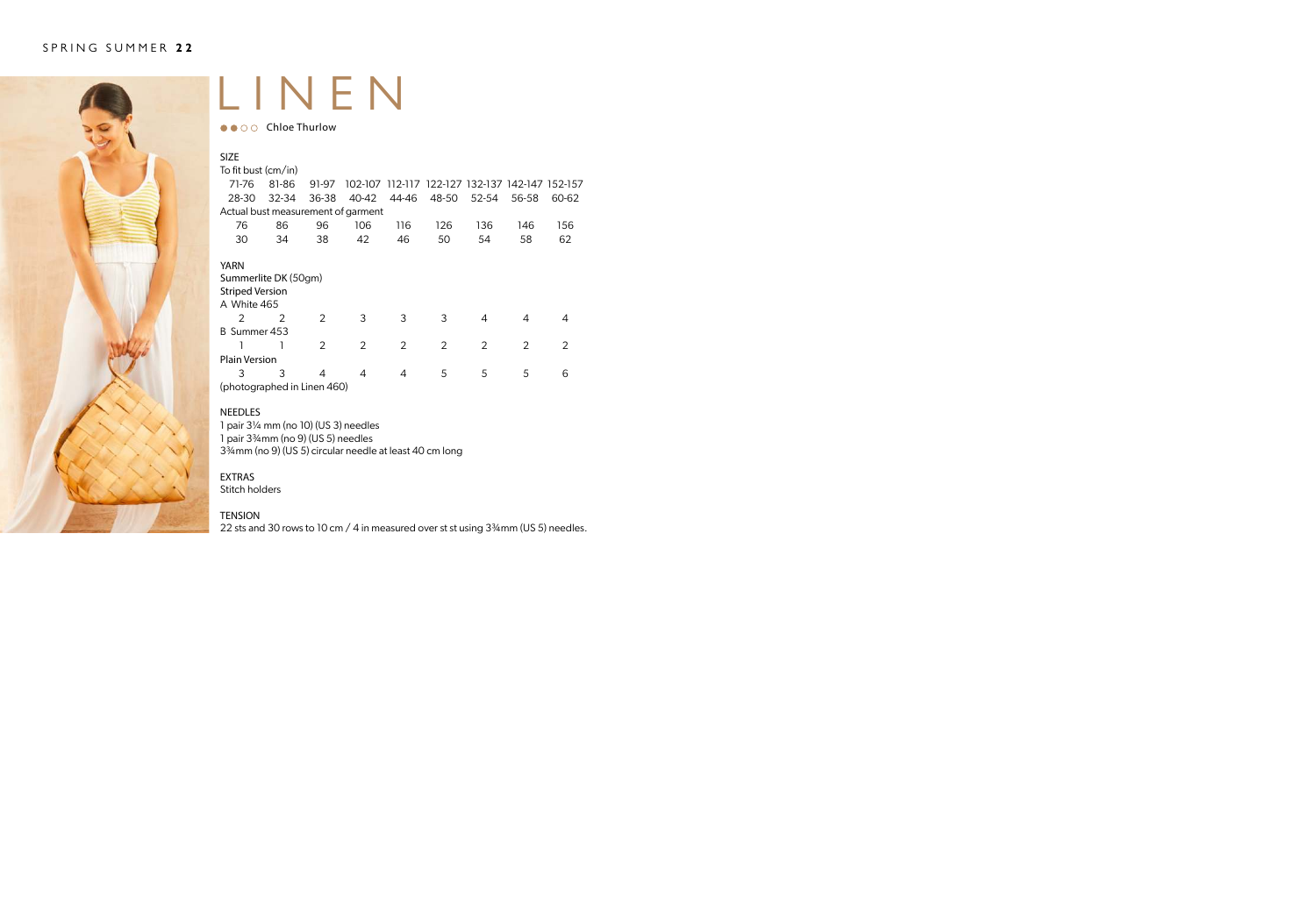

### LINEN

 $\bullet \bullet \circ \circ$  Chloe Thurlow

| <b>SIZE</b>                        |       |               |               |               |                                                 |               |               |               |
|------------------------------------|-------|---------------|---------------|---------------|-------------------------------------------------|---------------|---------------|---------------|
| To fit bust (cm/in)                |       |               |               |               |                                                 |               |               |               |
| 71-76                              | 81-86 | 91-97         |               |               | 102-107 112-117 122-127 132-137 142-147 152-157 |               |               |               |
| 28-30                              | 32-34 | 36-38         | 40-42         | 44-46         | 48-50                                           | 52-54         | 56-58         | 60-62         |
| Actual bust measurement of garment |       |               |               |               |                                                 |               |               |               |
| 76                                 | 86    | 96            | 106           | 116           | 126                                             | 136           | 146           | 156           |
| 30                                 | 34    | 38            | 42            | 46            | 50                                              | 54            | 58            | 62            |
|                                    |       |               |               |               |                                                 |               |               |               |
| <b>YARN</b>                        |       |               |               |               |                                                 |               |               |               |
| Summerlite DK (50gm)               |       |               |               |               |                                                 |               |               |               |
| <b>Striped Version</b>             |       |               |               |               |                                                 |               |               |               |
| A White 465                        |       |               |               |               |                                                 |               |               |               |
| $\mathcal{P}$                      | 2     | $\mathcal{P}$ | 3             | 3             | 3                                               | 4             | 4             | 4             |
| B Summer 453                       |       |               |               |               |                                                 |               |               |               |
|                                    |       | $\mathcal{P}$ | $\mathcal{P}$ | $\mathcal{P}$ | $\mathcal{P}$                                   | $\mathcal{P}$ | $\mathcal{P}$ | $\mathcal{P}$ |
| <b>Plain Version</b>               |       |               |               |               |                                                 |               |               |               |
| 3                                  | 3     | 4             | 4             | 4             | 5                                               | 5             | 5             | 6             |
| (photographed in Linen 460)        |       |               |               |               |                                                 |               |               |               |

### NEEDLES

1 pair 3¼ mm (no 10) (US 3) needles

1 pair 3¾mm (no 9) (US 5) needles

3¾mm (no 9) (US 5) circular needle at least 40 cm long

### EXTRAS

Stitch holders

#### TENSION

22 sts and 30 rows to 10 cm / 4 in measured over st st using 3<sup>34</sup>mm (US 5) needles.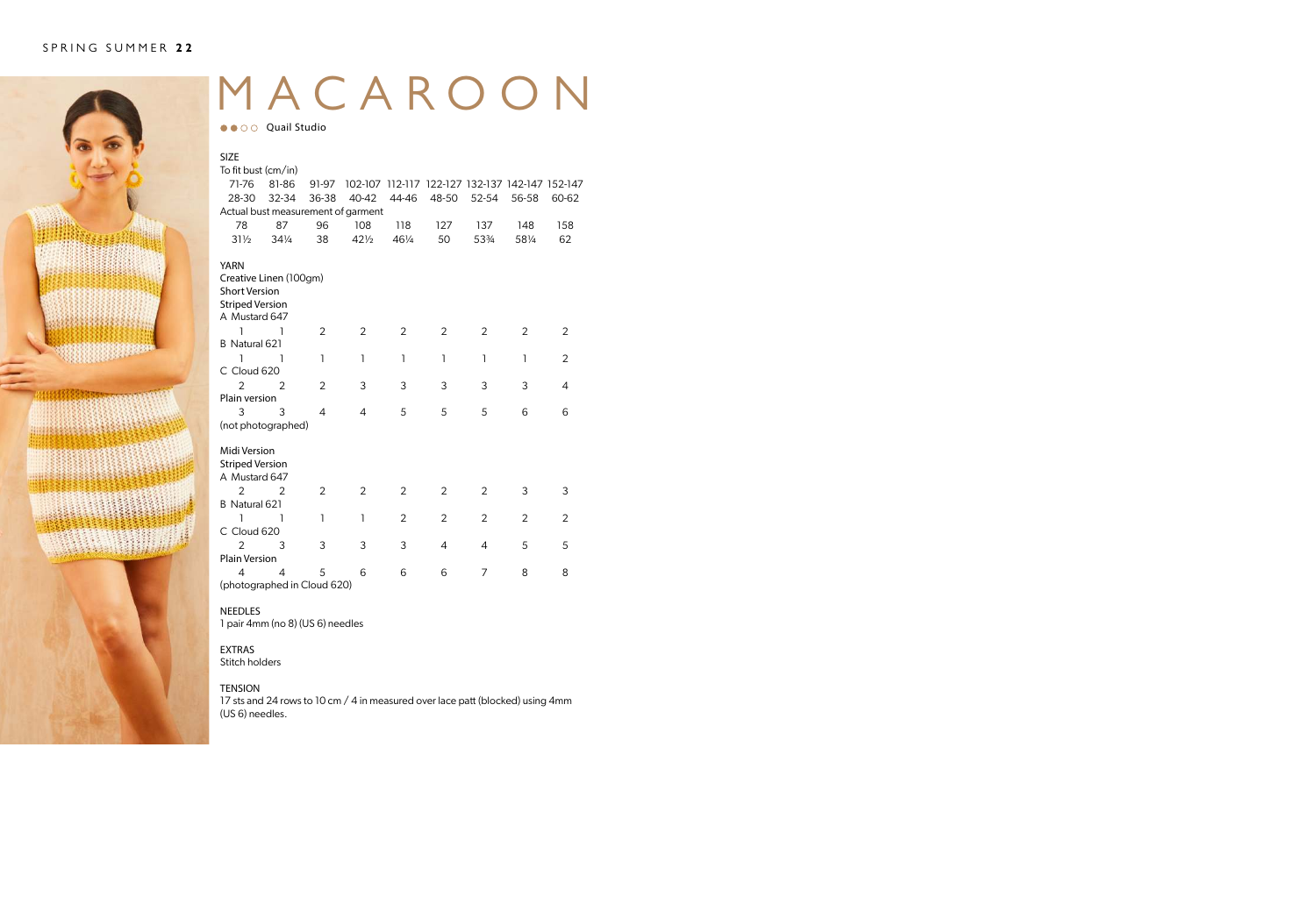

## MACAROON

●● ○ ○ Quail Studio

| <b>SIZE</b>                        |                 |       |                 |                |                                                 |                |                |                |
|------------------------------------|-----------------|-------|-----------------|----------------|-------------------------------------------------|----------------|----------------|----------------|
| To fit bust (cm/in)                |                 |       |                 |                |                                                 |                |                |                |
| 71-76                              | 81-86           | 91-97 |                 |                | 102-107 112-117 122-127 132-137 142-147 152-147 |                |                |                |
| 28-30                              | 32-34           | 36-38 | 40-42           | 44-46          | 48-50                                           | 52-54          | 56-58          | 60-62          |
| Actual bust measurement of garment |                 |       |                 |                |                                                 |                |                |                |
| 78                                 | 87              | 96    | 108             | 118            | 127                                             | 137            | 148            | 158            |
| $31\frac{1}{2}$                    | $34\frac{1}{4}$ | 38    | $42\frac{1}{2}$ | 461/4          | 50                                              | 53%            | 581/4          | 62             |
| <b>YARN</b>                        |                 |       |                 |                |                                                 |                |                |                |
| Creative Linen (100gm)             |                 |       |                 |                |                                                 |                |                |                |
| <b>Short Version</b>               |                 |       |                 |                |                                                 |                |                |                |
| <b>Striped Version</b>             |                 |       |                 |                |                                                 |                |                |                |
| A Mustard 647                      |                 |       |                 |                |                                                 |                |                |                |
| 1                                  | ı               | 2     | 2               | $\overline{2}$ | 2                                               | 2              | 2              | 2              |
| B Natural 621                      |                 |       |                 |                |                                                 |                |                |                |
| 1                                  | 1               | 1     | 1               | 1              | ı                                               | 1              | ı              | $\overline{2}$ |
| C Cloud 620                        |                 |       |                 |                |                                                 |                |                |                |
| $\overline{2}$                     | $\overline{2}$  | 2     | 3               | 3              | 3                                               | 3              | 3              | 4              |
| Plain version                      |                 |       |                 |                |                                                 |                |                |                |
| 3                                  | 3               | 4     | 4               | 5              | 5                                               | 5              | 6              | 6              |
| (not photographed)                 |                 |       |                 |                |                                                 |                |                |                |
| Midi Version                       |                 |       |                 |                |                                                 |                |                |                |
| <b>Striped Version</b>             |                 |       |                 |                |                                                 |                |                |                |
| A Mustard 647                      |                 |       |                 |                |                                                 |                |                |                |
| $\overline{2}$                     | 2               | 2     | 2               | 2              | 2                                               | 2              | 3              | 3              |
| B Natural 621                      |                 |       |                 |                |                                                 |                |                |                |
| 1                                  | ı               | 1     | 1               | 2              | 2                                               | 2              | $\overline{2}$ | 2              |
| C Cloud 620                        |                 |       |                 |                |                                                 |                |                |                |
| $\overline{2}$                     | 3               | 3     | 3               | 3              | 4                                               | $\overline{4}$ | 5              | 5              |
| <b>Plain Version</b>               |                 |       |                 |                |                                                 |                |                |                |
| 4                                  | 4               | 5     | 6               | 6              | 6                                               | 7              | 8              | 8              |
| (photographed in Cloud 620)        |                 |       |                 |                |                                                 |                |                |                |

#### **NEEDLES**

1 pair 4mm (no 8) (US 6) needles

### EXTRAS

Stitch holders

### TENSION

17 sts and 24 rows to 10 cm / 4 in measured over lace patt (blocked) using 4mm (US 6) needles.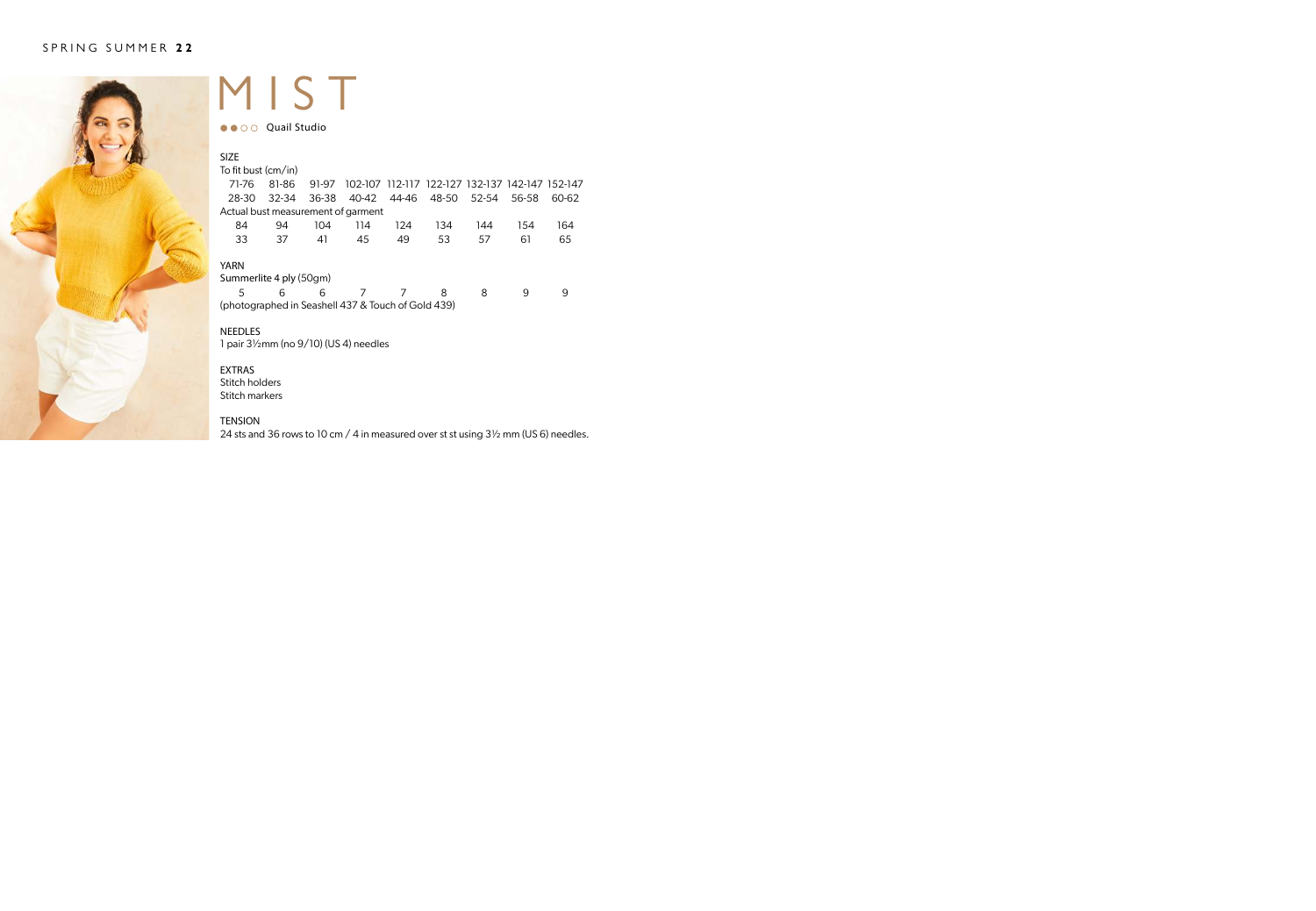

### MIST

●● ○ ○ Quail Studio

| <b>SIZE</b>                                        |       |       |                         |     |                                                 |       |       |       |
|----------------------------------------------------|-------|-------|-------------------------|-----|-------------------------------------------------|-------|-------|-------|
| To fit bust (cm/in)                                |       |       |                         |     |                                                 |       |       |       |
| 71-76                                              | 81-86 | 91-97 |                         |     | 102-107 112-117 122-127 132-137 142-147 152-147 |       |       |       |
| 28-30                                              | 32-34 |       | 36-38 40-42 44-46 48-50 |     |                                                 | 52-54 | 56-58 | 60-62 |
| Actual bust measurement of garment                 |       |       |                         |     |                                                 |       |       |       |
| 84                                                 | 94    | 104   | 114                     | 124 | 134                                             | 144   | 154   | 164   |
| 33                                                 | 37    | 41    | 45                      | 49  | 53                                              | 57    | 61    | 65    |
| YARN                                               |       |       |                         |     |                                                 |       |       |       |
| Summerlite 4 ply (50gm)                            |       |       |                         |     |                                                 |       |       |       |
| 5                                                  | 6     | 6     | 7                       |     | 8                                               | 8     | q     | 9     |
| (photographed in Seashell 437 & Touch of Gold 439) |       |       |                         |     |                                                 |       |       |       |

### NEEDLES

1 pair 3½mm (no 9/10) (US 4) needles

### EXTRAS Stitch holders

Stitch markers

### TENSION

24 sts and 36 rows to 10 cm / 4 in measured over st st using 3½ mm (US 6) needles.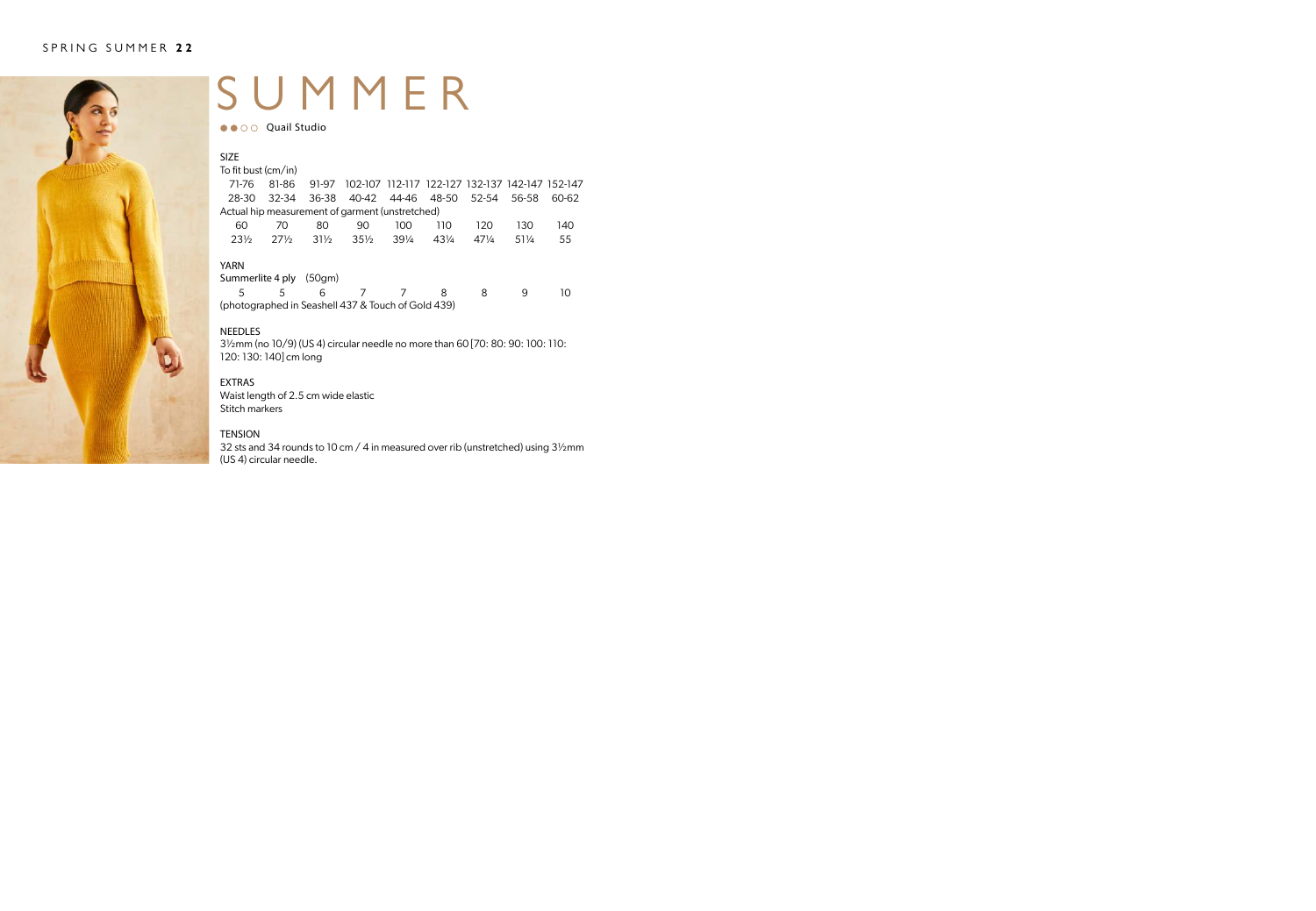

### SUMMER

●●○○ Quail Studio

| <b>SIZE</b>                                        |                 |                 |                 |                 |                                                 |                 |       |       |
|----------------------------------------------------|-----------------|-----------------|-----------------|-----------------|-------------------------------------------------|-----------------|-------|-------|
| To fit bust (cm/in)                                |                 |                 |                 |                 |                                                 |                 |       |       |
| 71-76                                              | 81-86           | 91-97           |                 |                 | 102-107 112-117 122-127 132-137 142-147 152-147 |                 |       |       |
| 28-30                                              | $32 - 34$       | 36-38           |                 |                 | 40-42 44-46 48-50 52-54                         |                 | 56-58 | 60-62 |
| Actual hip measurement of garment (unstretched)    |                 |                 |                 |                 |                                                 |                 |       |       |
| 60                                                 | 70              | 80              | 90              | 100             | 110                                             | 120             | 130   | 140   |
| $23\%$                                             | $27\frac{1}{2}$ | $31\frac{1}{2}$ | $35\frac{1}{2}$ | $39\frac{1}{4}$ | $43\frac{1}{4}$                                 | $47\frac{1}{4}$ | 511/4 | 55    |
| YARN                                               |                 |                 |                 |                 |                                                 |                 |       |       |
| Summerlite 4 ply                                   |                 | (50gm)          |                 |                 |                                                 |                 |       |       |
| 5                                                  | 5               | 6               |                 |                 | 8                                               | 8               | 9     | 10    |
| (photographed in Seashell 437 & Touch of Gold 439) |                 |                 |                 |                 |                                                 |                 |       |       |

### NEEDLES

3½mm (no 10/9) (US 4) circular needle no more than 60 [70: 80: 90: 100: 110: 120: 130: 140] cm long

#### EXTRAS

Waist length of 2.5 cm wide elastic Stitch markers

### **TENSION**

32 sts and 34 rounds to 10 cm / 4 in measured over rib (unstretched) using 3½mm (US 4) circular needle.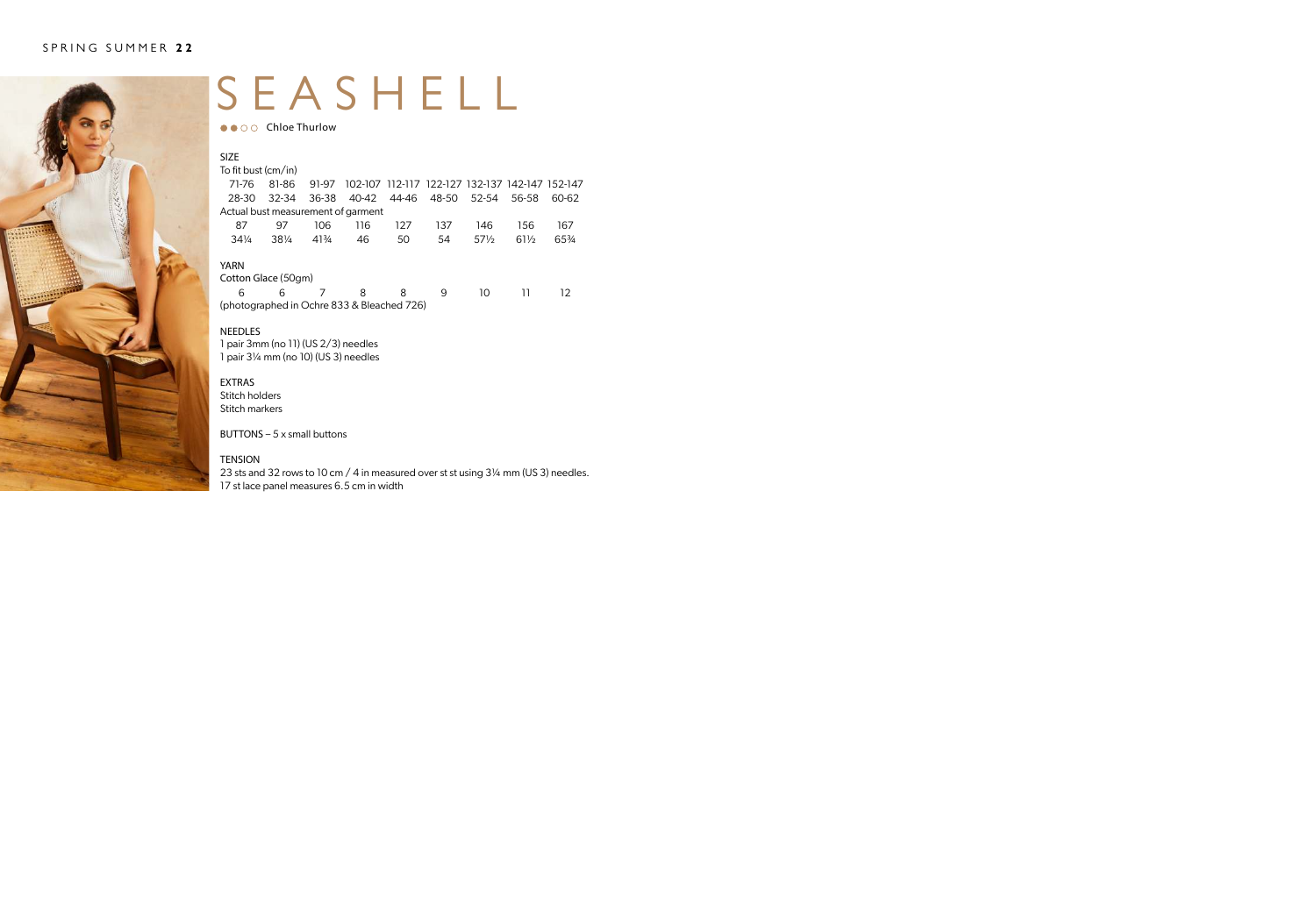

### SEASHELL

 $\bullet \bullet \circ \circ$  Chloe Thurlow

| <b>SIZE</b>                                |           |       |       |     |                                                 |                 |                 |       |
|--------------------------------------------|-----------|-------|-------|-----|-------------------------------------------------|-----------------|-----------------|-------|
| To fit bust (cm/in)                        |           |       |       |     |                                                 |                 |                 |       |
| 71-76                                      | 81-86     | 91-97 |       |     | 102-107 112-117 122-127 132-137 142-147 152-147 |                 |                 |       |
| 28-30                                      | $32 - 34$ | 36-38 | 40-42 |     | 44-46 48-50 52-54                               |                 | 56-58           | 60-62 |
| Actual bust measurement of garment         |           |       |       |     |                                                 |                 |                 |       |
| 87                                         | 97        | 106   | 116   | 127 | 137                                             | 146             | 156             | 167   |
| $34\frac{1}{4}$                            | 381/4     | 413/4 | 46    | 50  | 54                                              | $57\frac{1}{2}$ | $61\frac{1}{2}$ | 65%   |
| <b>YARN</b>                                |           |       |       |     |                                                 |                 |                 |       |
| Cotton Glace (50gm)                        |           |       |       |     |                                                 |                 |                 |       |
| 6                                          | 6         | 7     | 8     | 8   | 9                                               | 10              | וו              | 12.   |
| (photographed in Ochre 833 & Bleached 726) |           |       |       |     |                                                 |                 |                 |       |

#### NEEDLES

1 pair 3mm (no 11) (US 2/3) needles 1 pair 3¼ mm (no 10) (US 3) needles

#### EXTRAS

Stitch holders Stitch markers

BUTTONS  $-5x$  small buttons

### TENSION

23 sts and 32 rows to 10 cm / 4 in measured over st st using 3¼ mm (US 3) needles. 17 st lace panel measures 6.5 cm in width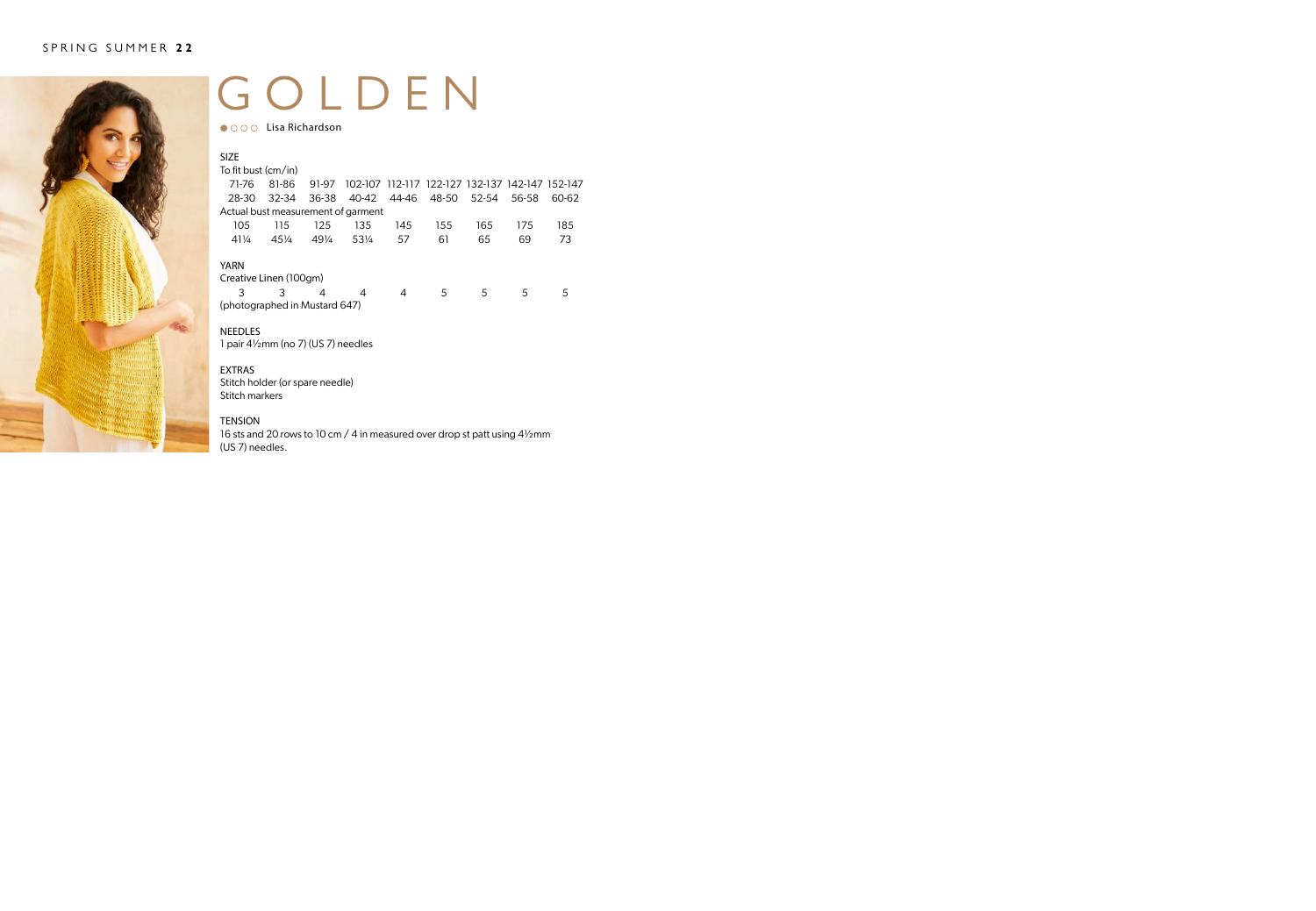

### GOLDEN

● ○ ○ ○ Lisa Richardson

| <b>SIZE</b>                           |           |                 |       |       |                                                 |       |       |       |
|---------------------------------------|-----------|-----------------|-------|-------|-------------------------------------------------|-------|-------|-------|
| To fit bust (cm/in)                   |           |                 |       |       |                                                 |       |       |       |
| 71-76                                 | 81-86     | 91-97           |       |       | 102-107 112-117 122-127 132-137 142-147 152-147 |       |       |       |
| 28-30                                 | $32 - 34$ | 36-38           | 40-42 | 44-46 | 48-50                                           | 52-54 | 56-58 | 60-62 |
| Actual bust measurement of garment    |           |                 |       |       |                                                 |       |       |       |
| 105                                   | 115       | 125             | 135   | 145   | 155                                             | 165   | 175   | 185   |
| $41\frac{1}{4}$                       | $45\%$    | $49\frac{1}{4}$ | 531/4 | 57    | 61                                              | 65    | 69    | 73    |
| <b>YARN</b><br>Creative Linen (100gm) |           |                 |       |       |                                                 |       |       |       |
| 3                                     | 3         | 4               | 4     | 4     | 5                                               | 5     | 5     | 5     |
| (photographed in Mustard 647)         |           |                 |       |       |                                                 |       |       |       |

### NEEDLES

1 pair 4½mm (no 7) (US 7) needles

### EXTRAS

Stitch holder (or spare needle) Stitch markers

### TENSION

16 sts and 20 rows to 10 cm / 4 in measured over drop st patt using 4½mm (US 7) needles.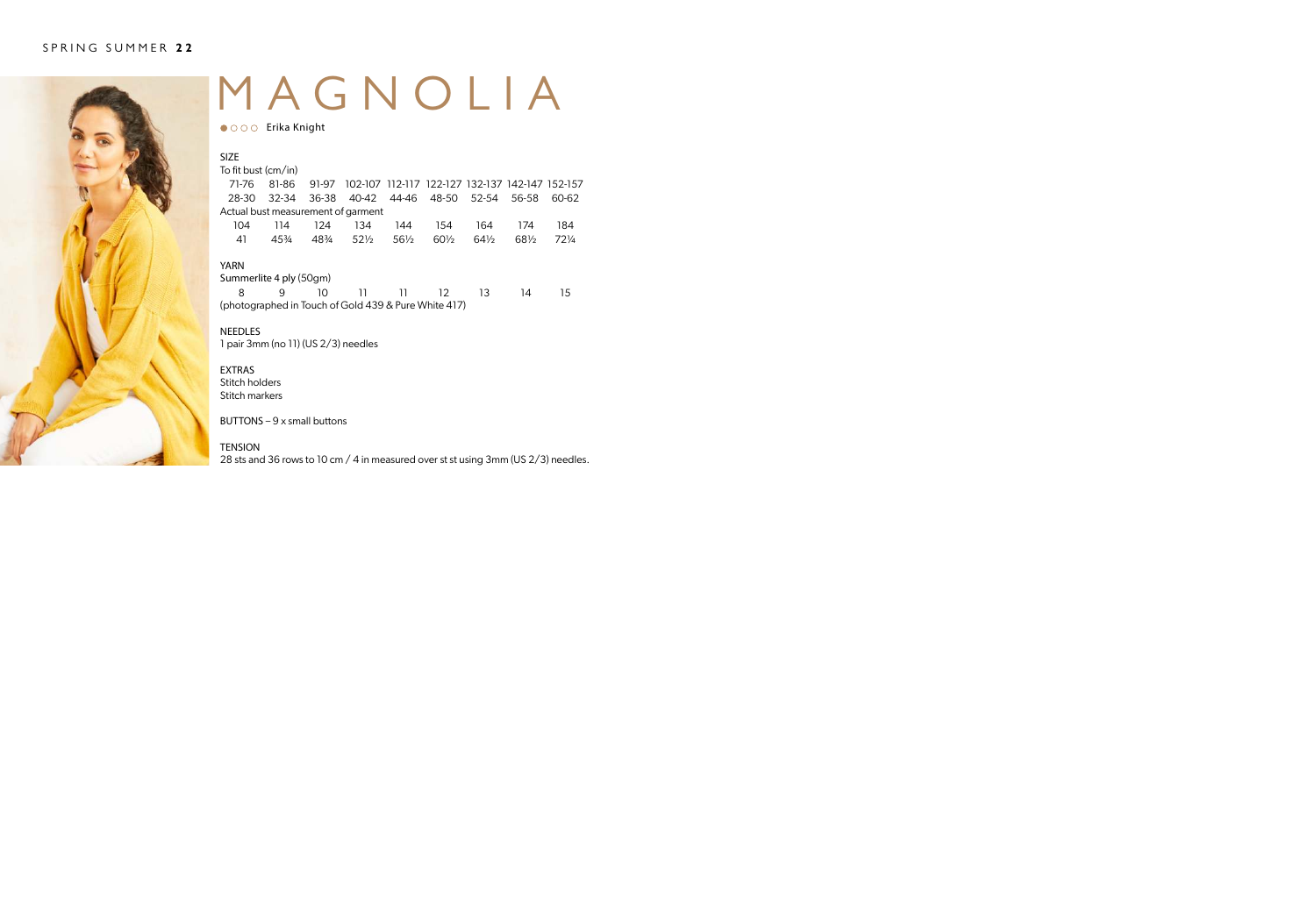

### MAGNOLIA

 $\bullet$  000 Erika Knight

| <b>SIZE</b><br>To fit bust (cm/in)                   |       |       |                 |                 |                                                 |                 |       |       |
|------------------------------------------------------|-------|-------|-----------------|-----------------|-------------------------------------------------|-----------------|-------|-------|
|                                                      |       |       |                 |                 |                                                 |                 |       |       |
| 71-76                                                | 81-86 | 91-97 |                 |                 | 102-107 112-117 122-127 132-137 142-147 152-157 |                 |       |       |
| 28-30                                                | 32-34 | 36-38 |                 |                 | 40-42 44-46 48-50 52-54                         |                 | 56-58 | 60-62 |
| Actual bust measurement of garment                   |       |       |                 |                 |                                                 |                 |       |       |
| 104                                                  | 114   | 124   | 134             | 144             | 154                                             | 164             | 174   | 184   |
| 41                                                   | 45%   | 48%   | $52\frac{1}{2}$ | $56\frac{1}{2}$ | $60\frac{1}{2}$                                 | $64\frac{1}{2}$ | 681/2 | 721/4 |
| <b>YARN</b>                                          |       |       |                 |                 |                                                 |                 |       |       |
| Summerlite 4 ply (50gm)                              |       |       |                 |                 |                                                 |                 |       |       |
| 8                                                    | 9     | 10    | 11              | וו              | 12                                              | 13              | 14    | 15    |
| (photographed in Touch of Gold 439 & Pure White 417) |       |       |                 |                 |                                                 |                 |       |       |

NEEDLES 1 pair 3mm (no 11) (US 2/3) needles

EXTRAS Stitch holders Stitch markers

BUTTONS – 9 x small buttons

**TENSION** 

28 sts and 36 rows to 10 cm / 4 in measured over st st using 3mm (US 2/3) needles.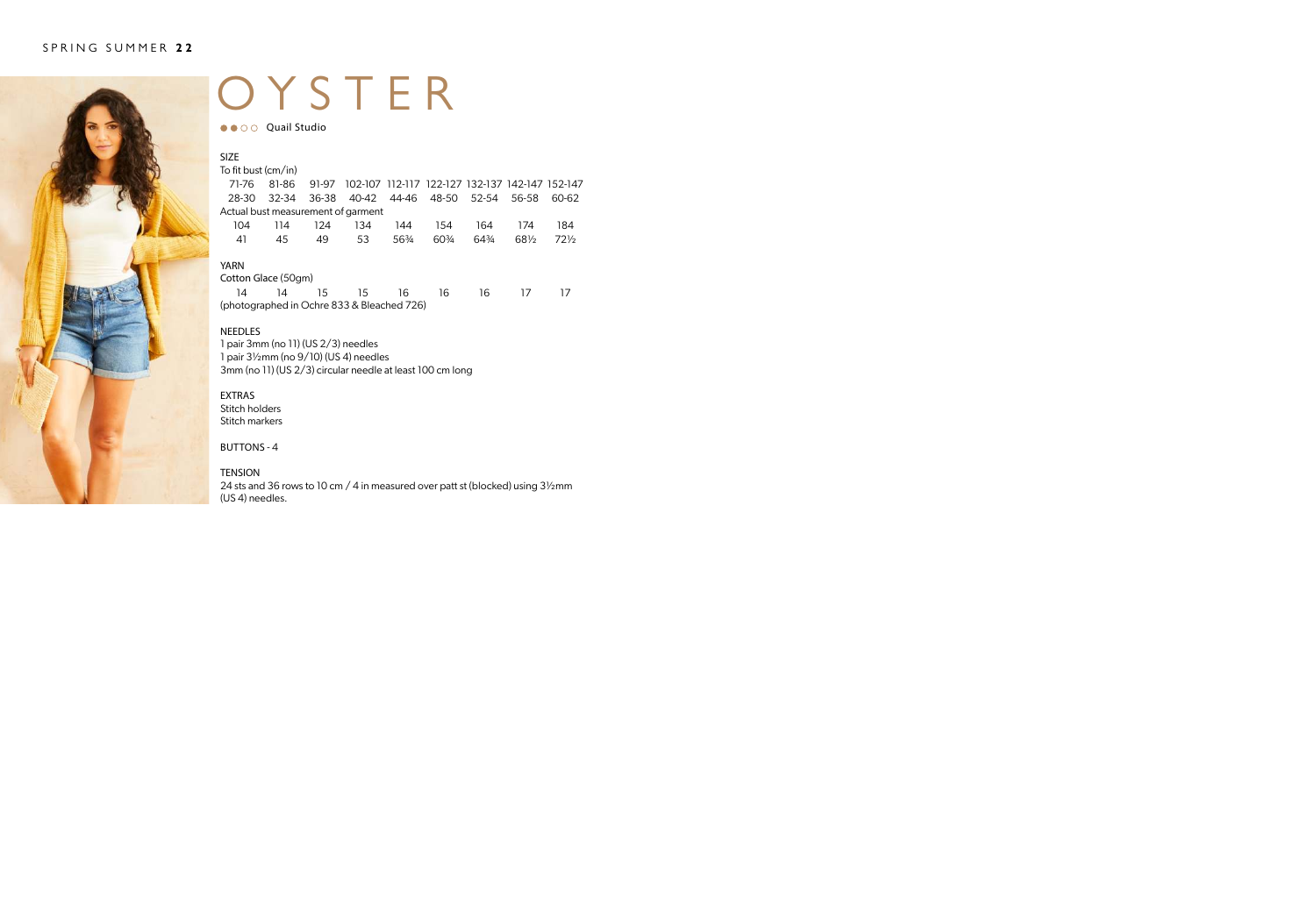

### OYSTER

●● ○ ○ Quail Studio

| <b>SIZE</b>                        |     |     |                                                             |       |     |       |       |        |
|------------------------------------|-----|-----|-------------------------------------------------------------|-------|-----|-------|-------|--------|
| To fit bust (cm/in)                |     |     |                                                             |       |     |       |       |        |
| 71-76                              |     |     | 81-86 91-97 102-107 112-117 122-127 132-137 142-147 152-147 |       |     |       |       |        |
| 28-30                              |     |     | 32-34 36-38 40-42 44-46 48-50 52-54 56-58                   |       |     |       |       | 60-62  |
| Actual bust measurement of garment |     |     |                                                             |       |     |       |       |        |
| 104                                | 114 | 124 | 134                                                         | 144   | 154 | 164   | 174   | 184    |
| 41                                 | 45  | 49  | 53                                                          | 563⁄4 | 60% | 643⁄4 | 681/2 | $72\%$ |
| YARN<br>___                        |     |     |                                                             |       |     |       |       |        |

Cotton Glace (50gm) 14 14 15 15 16 16 16 17 17 (photographed in Ochre 833 & Bleached 726)

### NEEDLES

1 pair 3mm (no 11) (US 2/3) needles 1 pair 3½mm (no 9/10) (US 4) needles 3mm (no 11) (US 2/3) circular needle at least 100 cm long

EXTRAS Stitch holders Stitch markers

BUTTONS - 4

#### TENSION

24 sts and 36 rows to 10 cm / 4 in measured over patt st (blocked) using 3½mm (US 4) needles.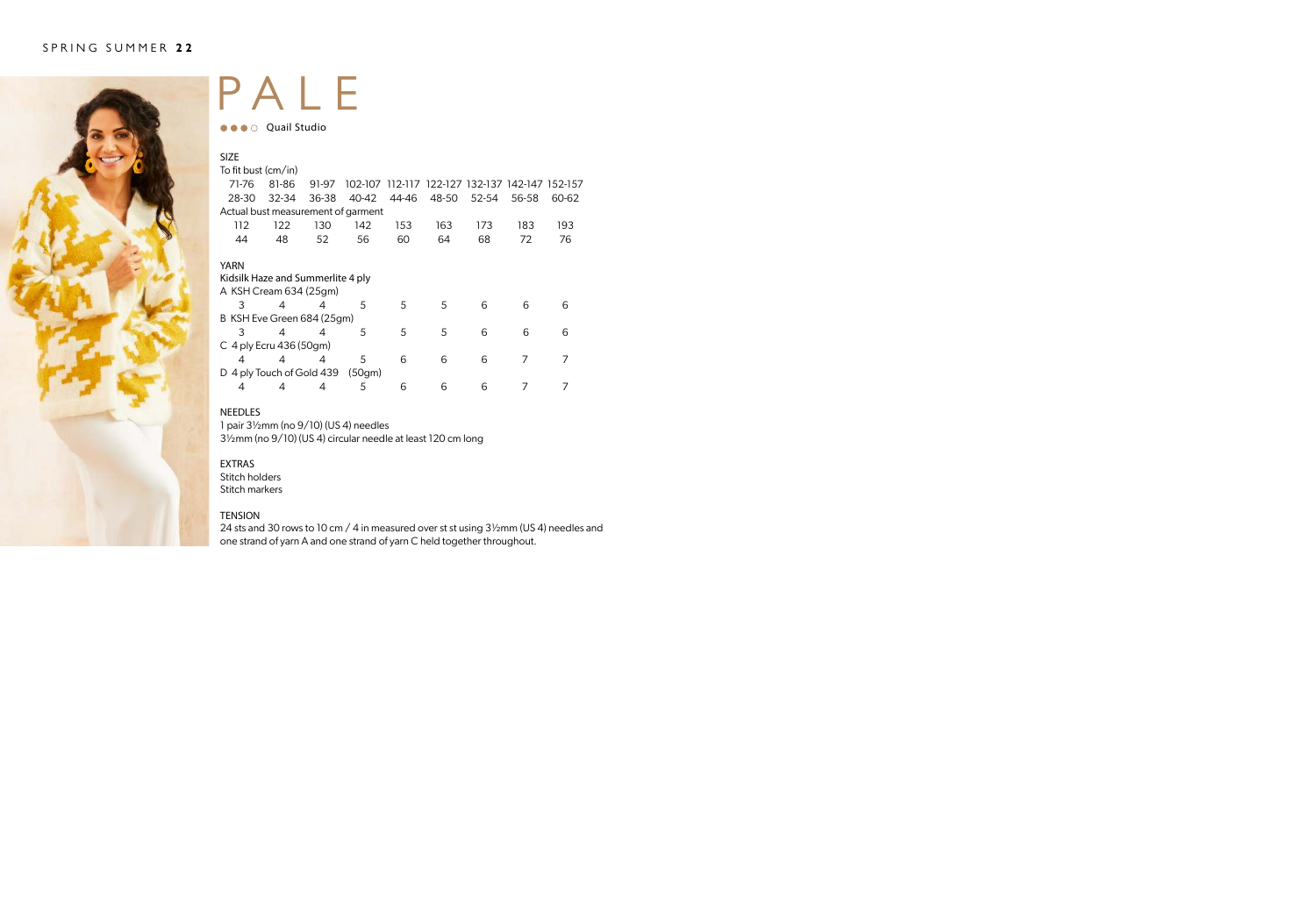

### PALE

**OCO** Quail Studio

| <b>SIZE</b>                        |                         |       |        |       |                                                 |       |       |       |
|------------------------------------|-------------------------|-------|--------|-------|-------------------------------------------------|-------|-------|-------|
| To fit bust (cm/in)                |                         |       |        |       |                                                 |       |       |       |
| 71-76                              | 81-86                   | 91-97 |        |       | 102-107 112-117 122-127 132-137 142-147 152-157 |       |       |       |
| 28-30                              | 32-34                   | 36-38 | 40-42  | 44-46 | 48-50                                           | 52-54 | 56-58 | 60-62 |
| Actual bust measurement of garment |                         |       |        |       |                                                 |       |       |       |
| 112                                | 122                     | 130   | 142    | 153   | 163                                             | 173   | 183   | 193   |
| 44                                 | 48                      | 52    | 56     | 60    | 64                                              | 68    | 72    | 76    |
|                                    |                         |       |        |       |                                                 |       |       |       |
| <b>YARN</b>                        |                         |       |        |       |                                                 |       |       |       |
| Kidsilk Haze and Summerlite 4 ply  |                         |       |        |       |                                                 |       |       |       |
| A KSH Cream 634 (25qm)             |                         |       |        |       |                                                 |       |       |       |
| 3                                  | 4                       | 4     | 5      | .5    | 5                                               | 6     | 6     | 6     |
| B KSH Eve Green 684 (25gm)         |                         |       |        |       |                                                 |       |       |       |
| 3                                  | 4                       | 4     | 5      | 5     | 5                                               | 6     | 6     | 6     |
| $C$ 4 ply Ecru 436 (50gm)          |                         |       |        |       |                                                 |       |       |       |
| 4                                  | 4                       | 4     | 5      | 6     | 6                                               | 6     | 7     | 7     |
|                                    | 4 ply Touch of Gold 439 |       | (50gm) |       |                                                 |       |       |       |
| 4                                  | 4                       | 4     | 5      | 6     | 6                                               | 6     |       |       |

### NEEDLES

1 pair 3½mm (no 9/10) (US 4) needles 3½mm (no 9/10) (US 4) circular needle at least 120 cm long

### EXTRAS

Stitch holders Stitch markers

#### TENSION

24 sts and 30 rows to 10 cm / 4 in measured over st st using 3½mm (US 4) needles and one strand of yarn A and one strand of yarn C held together throughout.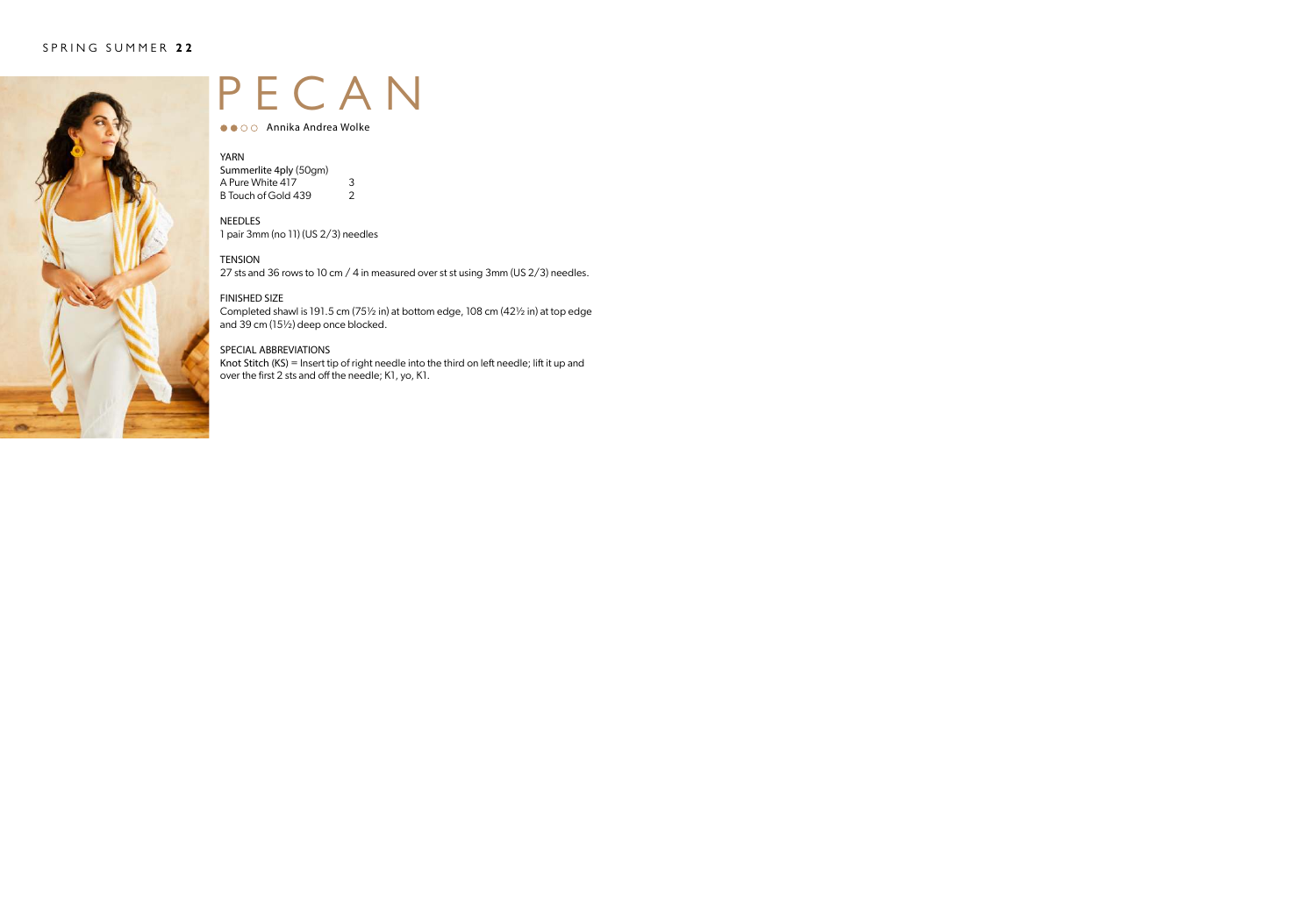

### PECAN

● ● ○ ○ Annika Andrea Wolke

### YARN<br>Summ

| Summerlite 4ply (50gm) |   |
|------------------------|---|
| A Pure White 417       | 3 |
| B Touch of Gold 439    | 2 |

NEEDLES 1 pair 3mm (no 11) (US 2/3) needles

**TENSION** 

27 sts and 36 rows to 10 cm / 4 in measured over st st using 3mm (US 2/3) needles.

### FINISHED SIZE

Completed shawl is 191.5 cm (75½ in) at bottom edge, 108 cm (42½ in) at top edge and 39 cm (15½) deep once blocked.

### SPECIAL ABBREVIATIONS

Knot Stitch (KS) = Insert tip of right needle into the third on left needle; lift it up and over the first 2 sts and off the needle; K1, yo, K1.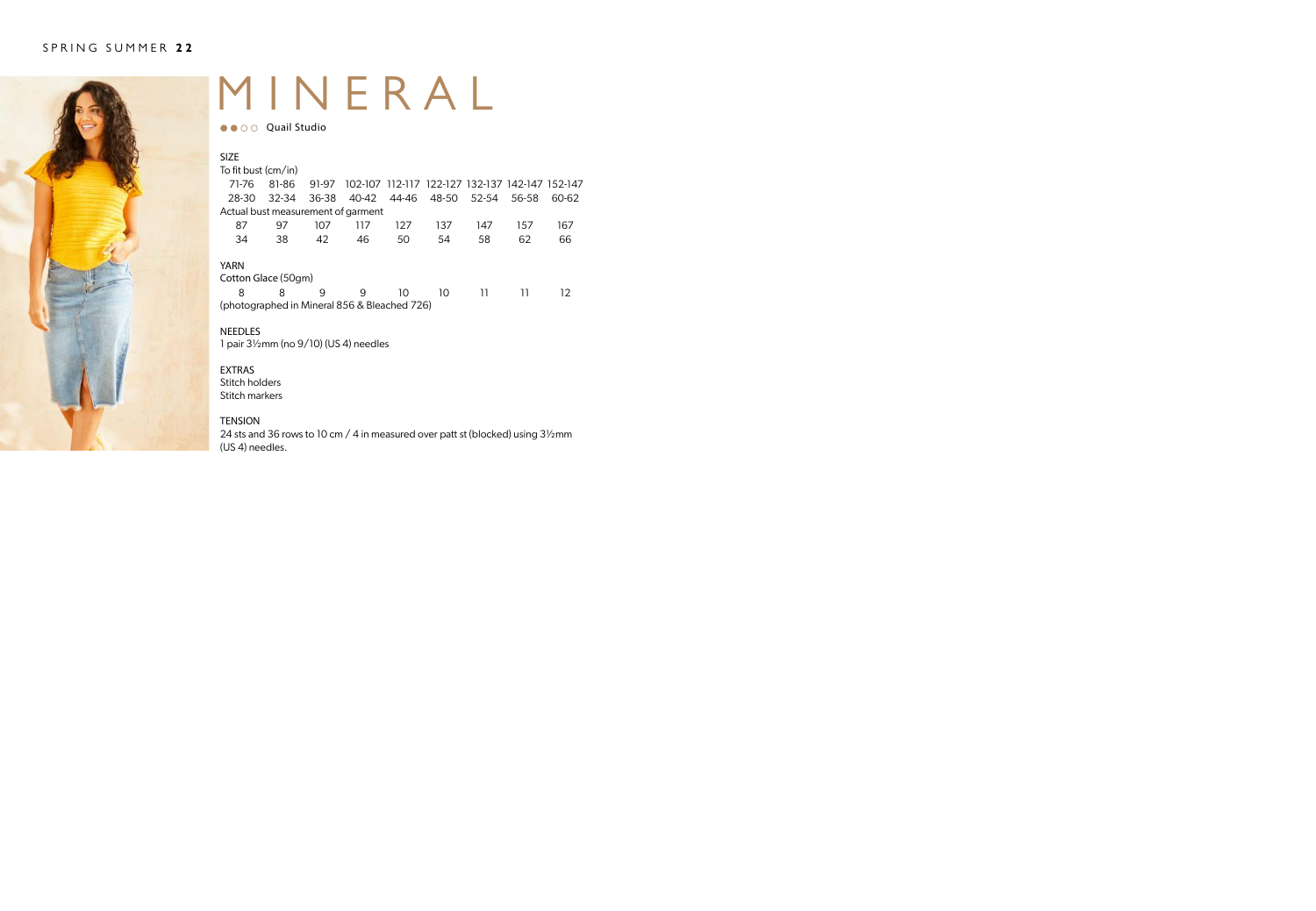

### MINERAL

●● ○ ○ Quail Studio

| <b>SIZE</b><br>To fit bust (cm/in)           |           |       |       |       |                                                 |     |       |       |  |  |
|----------------------------------------------|-----------|-------|-------|-------|-------------------------------------------------|-----|-------|-------|--|--|
| 71-76                                        | 81-86     | 91-97 |       |       | 102-107 112-117 122-127 132-137 142-147 152-147 |     |       |       |  |  |
| 28-30                                        | $32 - 34$ | 36-38 | 40-42 | 44-46 | 48-50 52-54                                     |     | 56-58 | 60-62 |  |  |
| Actual bust measurement of garment           |           |       |       |       |                                                 |     |       |       |  |  |
| 87                                           | 97        | 107   | 117   | 127   | 137                                             | 147 | 157   | 167   |  |  |
| 34                                           | 38        | 42    | 46    | 50    | 54                                              | 58  | 62    | 66    |  |  |
| YARN                                         |           |       |       |       |                                                 |     |       |       |  |  |
| Cotton Glace (50gm)                          |           |       |       |       |                                                 |     |       |       |  |  |
| 8                                            | 8         | q     | 9     | 10    | 10                                              | וו  | וו    | 12    |  |  |
| (photographed in Mineral 856 & Bleached 726) |           |       |       |       |                                                 |     |       |       |  |  |

### NEEDLES

1 pair 3½mm (no 9/10) (US 4) needles

#### EXTRAS Stitch holders

Stitch markers

### TENSION

24 sts and 36 rows to 10 cm / 4 in measured over patt st (blocked) using 3½mm (US 4) needles.